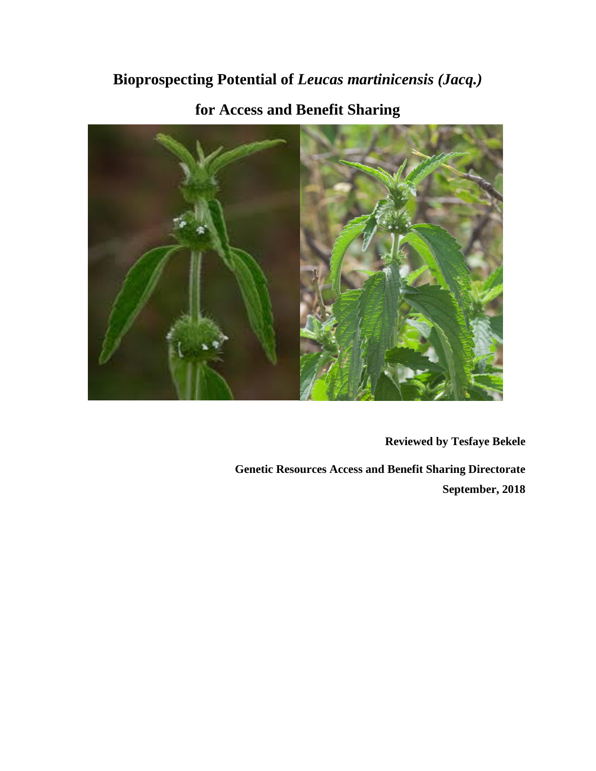# **Bioprospecting Potential of** *Leucas martinicensis (Jacq.)*



**for Access and Benefit Sharing**

**Reviewed by Tesfaye Bekele**

**Genetic Resources Access and Benefit Sharing Directorate September, 2018**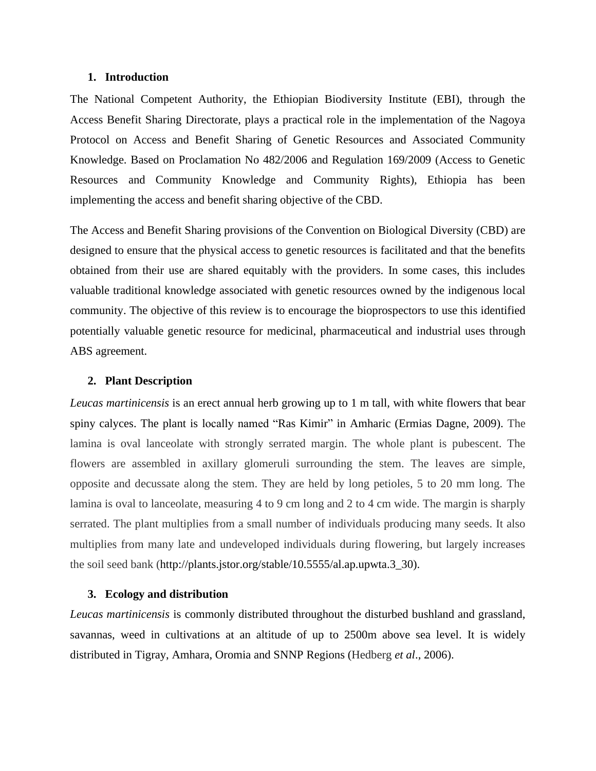### **1. Introduction**

The National Competent Authority, the Ethiopian Biodiversity Institute (EBI), through the Access Benefit Sharing Directorate, plays a practical role in the implementation of the Nagoya Protocol on Access and Benefit Sharing of Genetic Resources and Associated Community Knowledge. Based on Proclamation No 482/2006 and Regulation 169/2009 (Access to Genetic Resources and Community Knowledge and Community Rights), Ethiopia has been implementing the access and benefit sharing objective of the CBD.

The Access and Benefit Sharing provisions of the Convention on Biological Diversity (CBD) are designed to ensure that the physical access to genetic resources is facilitated and that the benefits obtained from their use are shared equitably with the providers. In some cases, this includes valuable traditional knowledge associated with genetic resources owned by the indigenous local community. The objective of this review is to encourage the bioprospectors to use this identified potentially valuable genetic resource for medicinal, pharmaceutical and industrial uses through ABS agreement.

#### **2. Plant Description**

*Leucas martinicensis* is an erect annual herb growing up to 1 m tall, with white flowers that bear spiny calyces. The plant is locally named "Ras Kimir" in Amharic (Ermias Dagne, 2009). The lamina is oval lanceolate with strongly serrated margin. The whole plant is pubescent. The flowers are assembled in axillary glomeruli surrounding the stem. The leaves are simple, opposite and decussate along the stem. They are held by long petioles, 5 to 20 mm long. The lamina is oval to lanceolate, measuring 4 to 9 cm long and 2 to 4 cm wide. The margin is sharply serrated. The plant multiplies from a small number of individuals producing many seeds. It also multiplies from many late and undeveloped individuals during flowering, but largely increases the soil seed bank [\(http://plants.jstor.org/stable/10.5555/al.ap.upwta.3\\_30\)](http://plants.jstor.org/stable/10.5555/al.ap.upwta.3_30).

## **3. Ecology and distribution**

*Leucas martinicensis* is commonly distributed throughout the disturbed bushland and grassland, savannas, weed in cultivations at an altitude of up to 2500m above sea level. It is widely distributed in Tigray, Amhara, Oromia and SNNP Regions (Hedberg *et al*., 2006).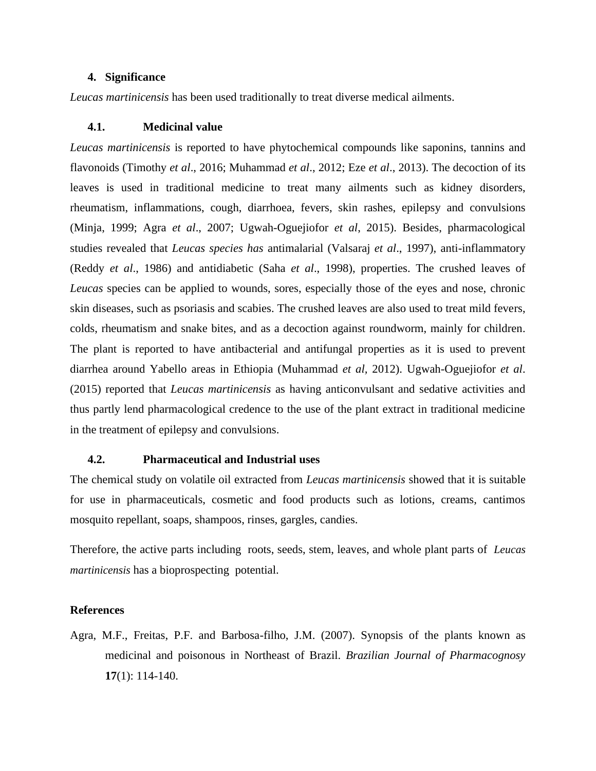## **4. Significance**

*Leucas martinicensis* has been used traditionally to treat diverse medical ailments.

#### **4.1. Medicinal value**

*Leucas martinicensis* is reported to have phytochemical compounds like saponins, tannins and flavonoids (Timothy *et al*., 2016; Muhammad *et al*., 2012; Eze *et al*., 2013). The decoction of its leaves is used in traditional medicine to treat many ailments such as kidney disorders, rheumatism, inflammations, cough, diarrhoea, fevers, skin rashes, epilepsy and convulsions (Minja, 1999; Agra *et al*., 2007; Ugwah-Oguejiofor *et al*, 2015). Besides, pharmacological studies revealed that *Leucas species has* antimalarial (Valsaraj *et al*., 1997), anti-inflammatory (Reddy *et al*., 1986) and antidiabetic (Saha *et al*., 1998), properties. The crushed leaves of *Leucas* species can be applied to wounds, sores, especially those of the eyes and nose, chronic skin diseases, such as psoriasis and scabies. The crushed leaves are also used to treat mild fevers, colds, rheumatism and snake bites, and as a decoction against roundworm, mainly for children. The plant is reported to have antibacterial and antifungal properties as it is used to prevent diarrhea around Yabello areas in Ethiopia (Muhammad *et al,* 2012). Ugwah-Oguejiofor *et al*. (2015) reported that *Leucas martinicensis* as having anticonvulsant and sedative activities and thus partly lend pharmacological credence to the use of the plant extract in traditional medicine in the treatment of epilepsy and convulsions.

#### **4.2. Pharmaceutical and Industrial uses**

The chemical study on volatile oil extracted from *Leucas martinicensis* showed that it is suitable for use in pharmaceuticals, cosmetic and food products such as lotions, creams, cantimos mosquito repellant, soaps, shampoos, rinses, gargles, candies.

Therefore, the active parts including roots, seeds, stem, leaves, and whole plant parts of *Leucas martinicensis* has a bioprospecting potential.

## **References**

Agra, M.F., Freitas, P.F. and Barbosa-filho, J.M. (2007). Synopsis of the plants known as medicinal and poisonous in Northeast of Brazil. *Brazilian Journal of Pharmacognosy*  **17**(1): 114-140.